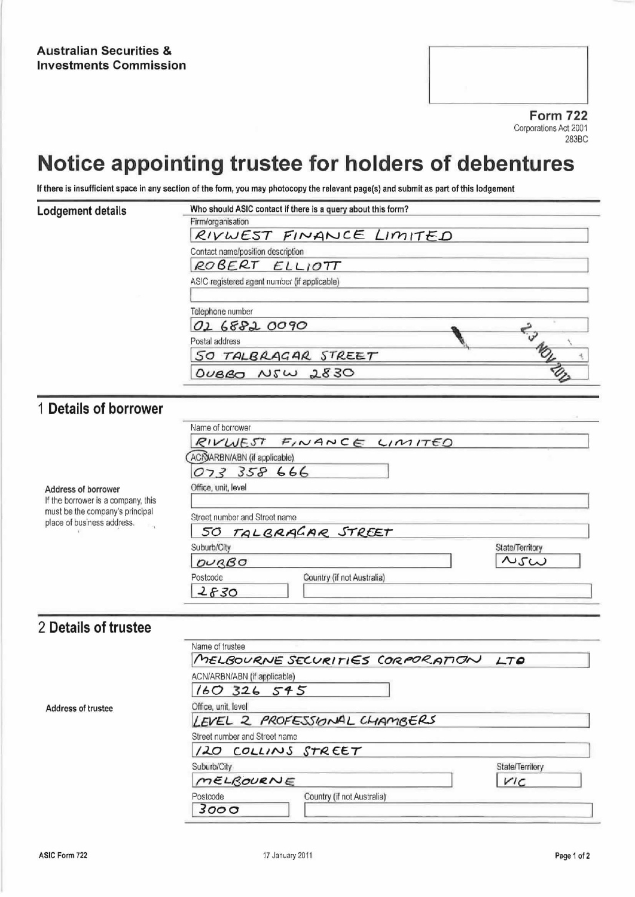**Form 722** Corporations Act 2001 283BC

## Notice appointing trustee for holders of debentures

If there is insufficient space in any section of the form, you may photocopy the relevant page(s) and submit as part of this lodgement

| Lodgement details                  | Who should ASIC contact if there is a query about this form? |
|------------------------------------|--------------------------------------------------------------|
|                                    | Firm/organisation                                            |
|                                    | RIVWEST FINANCE LIMITED                                      |
|                                    | Contact name/position description                            |
|                                    | ROBERT ELLIOTT                                               |
|                                    | ASIC registered agent number (if applicable)                 |
|                                    |                                                              |
|                                    | Telephone number                                             |
|                                    | 02 6882 0090                                                 |
|                                    | Postal address                                               |
|                                    | SO TALBRAGAR STREET                                          |
|                                    | OVBBO NSW 2830                                               |
|                                    |                                                              |
| 1 Details of borrower              |                                                              |
|                                    | Name of borrower                                             |
|                                    | RIVWEST FINANCE LIMITED                                      |
|                                    | ACIDARBN/ABN (if applicable)                                 |
|                                    | 073 358 666                                                  |
| Address of borrower                | Office, unit, level                                          |
| If the borrower is a company, this |                                                              |
| must be the company's principal    | Street number and Street name                                |
| place of business address.         | TALBRAGAR STREET<br>50                                       |
|                                    | Suburb/City<br>State/Territory                               |
|                                    | $\sim$ 5 $\omega$<br>OUBBO                                   |
|                                    | Postcode<br>Country (if not Australia)                       |
|                                    | 2830                                                         |

## 2 Details of trustee

|                    | Name of trustee                        |                 |
|--------------------|----------------------------------------|-----------------|
|                    | MELBOURNE SECURITIES CORPORATION LTO   |                 |
|                    | ACN/ARBN/ABN (if applicable)           |                 |
|                    | 160326595                              |                 |
| Address of trustee | Office, unit, level                    |                 |
|                    | LEVEL 2 PROFESSIONAL CHAMBERS          |                 |
|                    | Street number and Street name          |                 |
|                    | 120 COLLINS STREET                     |                 |
|                    | Suburb/City                            | State/Territory |
|                    | MELBOURNE                              | V'C             |
|                    | Country (if not Australia)<br>Postcode |                 |
|                    | 3000                                   |                 |